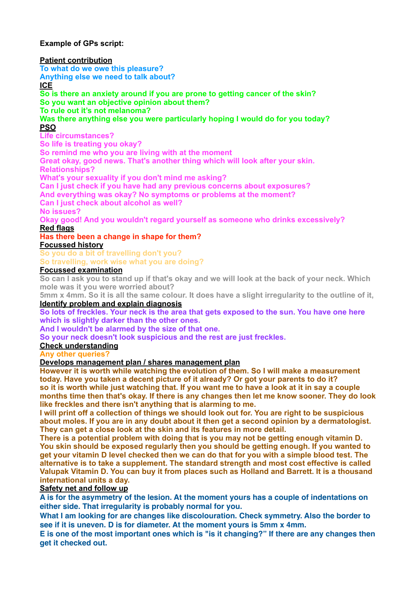**Example of GPs script:** 

#### **Patient contribution**

**To what do we owe this pleasure?** 

**Anything else we need to talk about?** 

# **ICE**

**So is there an anxiety around if you are prone to getting cancer of the skin? So you want an objective opinion about them?** 

**To rule out it's not melanoma?** 

**Was there anything else you were particularly hoping I would do for you today? PSO** 

### **Life circumstances?**

**So life is treating you okay?** 

**So remind me who you are living with at the moment** 

**Great okay, good news. That's another thing which will look after your skin. Relationships?** 

**What's your sexuality if you don't mind me asking?** 

**Can I just check if you have had any previous concerns about exposures?** 

**And everything was okay? No symptoms or problems at the moment?** 

**Can I just check about alcohol as well?** 

#### **No issues?**

**Okay good! And you wouldn't regard yourself as someone who drinks excessively?** 

#### **Red flags**

**Has there been a change in shape for them?** 

## **Focussed history**

**So you do a bit of travelling don't you?**

**So travelling, work wise what you are doing?**

## **Focussed examination**

**So can I ask you to stand up if that's okay and we will look at the back of your neck. Which mole was it you were worried about?** 

**5mm x 4mm. So it is all the same colour. It does have a slight irregularity to the outline of it, Identify problem and explain diagnosis** 

**So lots of freckles. Your neck is the area that gets exposed to the sun. You have one here which is slightly darker than the other ones.** 

**And I wouldn't be alarmed by the size of that one.** 

**So your neck doesn't look suspicious and the rest are just freckles.** 

**Check understanding** 

**Any other queries?** 

#### **Develops management plan / shares management plan**

**However it is worth while watching the evolution of them. So I will make a measurement today. Have you taken a decent picture of it already? Or got your parents to do it? so it is worth while just watching that. If you want me to have a look at it in say a couple months time then that's okay. If there is any changes then let me know sooner. They do look like freckles and there isn't anything that is alarming to me.** 

**I will print off a collection of things we should look out for. You are right to be suspicious about moles. If you are in any doubt about it then get a second opinion by a dermatologist. They can get a close look at the skin and its features in more detail.** 

**There is a potential problem with doing that is you may not be getting enough vitamin D. You skin should be exposed regularly then you should be getting enough. If you wanted to get your vitamin D level checked then we can do that for you with a simple blood test. The alternative is to take a supplement. The standard strength and most cost effective is called Valupak Vitamin D. You can buy it from places such as Holland and Barrett. It is a thousand international units a day.** 

### **Safety net and follow up**

**A is for the asymmetry of the lesion. At the moment yours has a couple of indentations on either side. That irregularity is probably normal for you.**

**What I am looking for are changes like discolouration. Check symmetry. Also the border to see if it is uneven. D is for diameter. At the moment yours is 5mm x 4mm.**

**E is one of the most important ones which is "is it changing?" If there are any changes then get it checked out.**